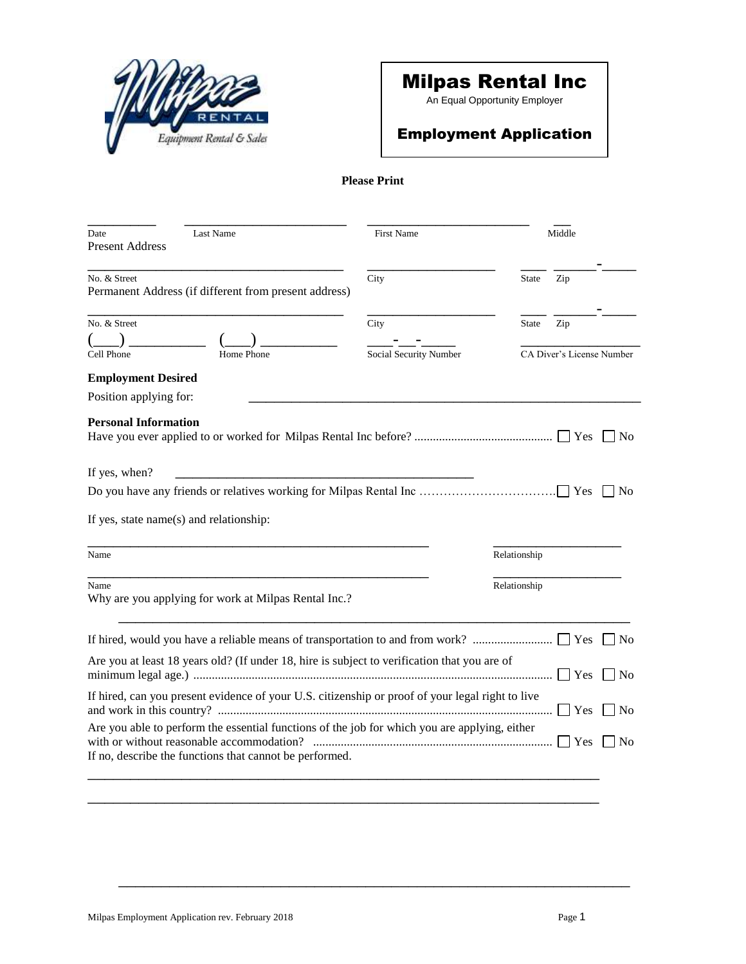

# Milpas Rental Inc

An Equal Opportunity Employer

## Employment Application

### **Please Print**

| Last Name<br>Date<br><b>Present Address</b>                                                      | <b>First Name</b>              |              | Middle                           |      |
|--------------------------------------------------------------------------------------------------|--------------------------------|--------------|----------------------------------|------|
| No. & Street<br>Permanent Address (if different from present address)                            | City                           | <b>State</b> | Zip                              |      |
| No. & Street                                                                                     | City<br>Social Security Number | <b>State</b> | Zip<br>CA Diver's License Number |      |
| Cell Phone<br>Home Phone                                                                         |                                |              |                                  |      |
| <b>Employment Desired</b><br>Position applying for:                                              |                                |              |                                  |      |
| <b>Personal Information</b>                                                                      |                                |              |                                  | No   |
| If yes, when?                                                                                    |                                |              |                                  |      |
|                                                                                                  |                                |              |                                  | l No |
| If yes, state name(s) and relationship:                                                          |                                |              |                                  |      |
| Name                                                                                             |                                | Relationship |                                  |      |
| Name<br>Why are you applying for work at Milpas Rental Inc.?                                     |                                | Relationship |                                  |      |
|                                                                                                  |                                |              |                                  | l No |
| Are you at least 18 years old? (If under 18, hire is subject to verification that you are of     |                                |              | Yes                              | No   |
| If hired, can you present evidence of your U.S. citizenship or proof of your legal right to live |                                |              | Yes                              | l No |
| Are you able to perform the essential functions of the job for which you are applying, either    |                                |              | <b>Yes</b>                       | l No |
| If no, describe the functions that cannot be performed.                                          |                                |              |                                  |      |

\_\_\_\_\_\_\_\_\_\_\_\_\_\_\_\_\_\_\_\_\_\_\_\_\_\_\_\_\_\_\_\_\_\_\_\_\_\_\_\_\_\_\_\_\_\_\_\_\_\_\_\_\_\_\_\_\_\_\_\_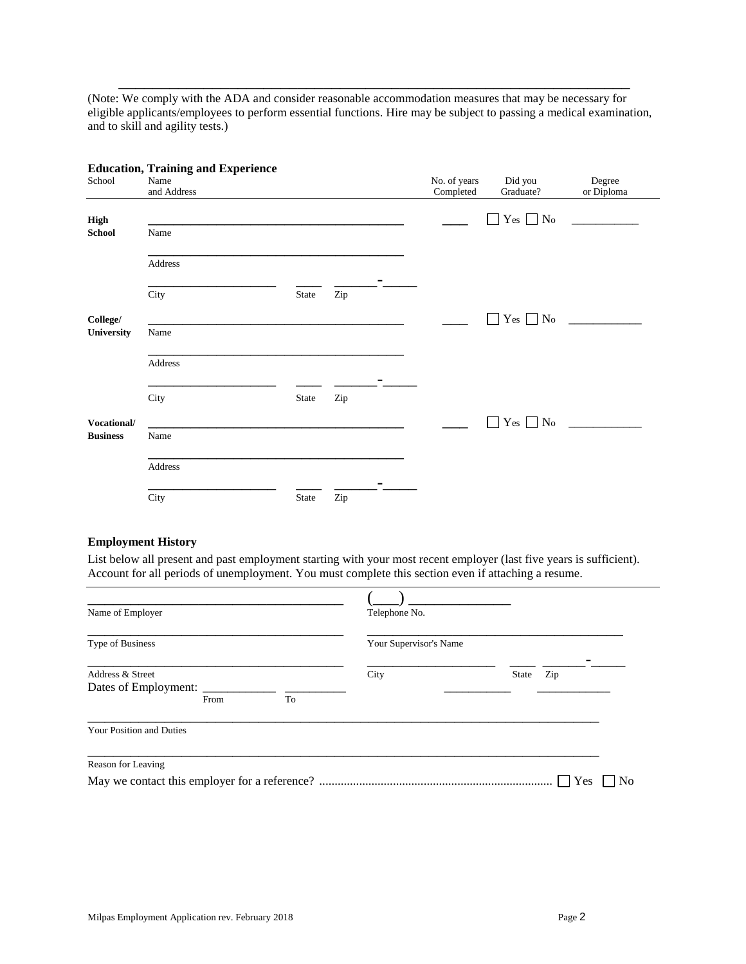(Note: We comply with the ADA and consider reasonable accommodation measures that may be necessary for eligible applicants/employees to perform essential functions. Hire may be subject to passing a medical examination, and to skill and agility tests.)

\_\_\_\_\_\_\_\_\_\_\_\_\_\_\_\_\_\_\_\_\_\_\_\_\_\_\_\_\_\_\_\_\_\_\_\_\_\_\_\_\_\_\_\_\_\_\_\_\_\_\_\_\_\_\_\_\_\_\_\_

|                 | <b>Education, Training and Experience</b> |       |     |                           |                              |                      |
|-----------------|-------------------------------------------|-------|-----|---------------------------|------------------------------|----------------------|
| School          | Name<br>and Address                       |       |     | No. of years<br>Completed | Did you<br>Graduate?         | Degree<br>or Diploma |
| <b>High</b>     |                                           |       |     |                           | $Yes \tNo$<br>$\blacksquare$ |                      |
| <b>School</b>   | Name                                      |       |     |                           |                              |                      |
|                 | Address                                   |       |     |                           |                              |                      |
|                 | City                                      | State | Zip |                           |                              |                      |
| College/        |                                           |       |     |                           | $Yes \Box No$<br>$\Box$      |                      |
| University      | Name                                      |       |     |                           |                              |                      |
|                 | Address                                   |       |     |                           |                              |                      |
|                 | City                                      | State | Zip |                           |                              |                      |
| Vocational/     |                                           |       |     |                           | Yes $\Box$ No<br>$\Box$      |                      |
| <b>Business</b> | Name                                      |       |     |                           |                              |                      |
|                 | Address                                   |       |     |                           |                              |                      |
|                 | City                                      | State | Zip |                           |                              |                      |

## **Education, Training and Experience**

#### **Employment History**

List below all present and past employment starting with your most recent employer (last five years is sufficient). Account for all periods of unemployment. You must complete this section even if attaching a resume.

| Name of Employer                                |      | Telephone No. |                        |              |                |
|-------------------------------------------------|------|---------------|------------------------|--------------|----------------|
| Type of Business                                |      |               | Your Supervisor's Name |              |                |
| Address & Street<br>Dates of Employment: ______ | From | To            | City                   | Zip<br>State |                |
| Your Position and Duties                        |      |               |                        |              |                |
| Reason for Leaving                              |      |               |                        | Yes          | N <sub>0</sub> |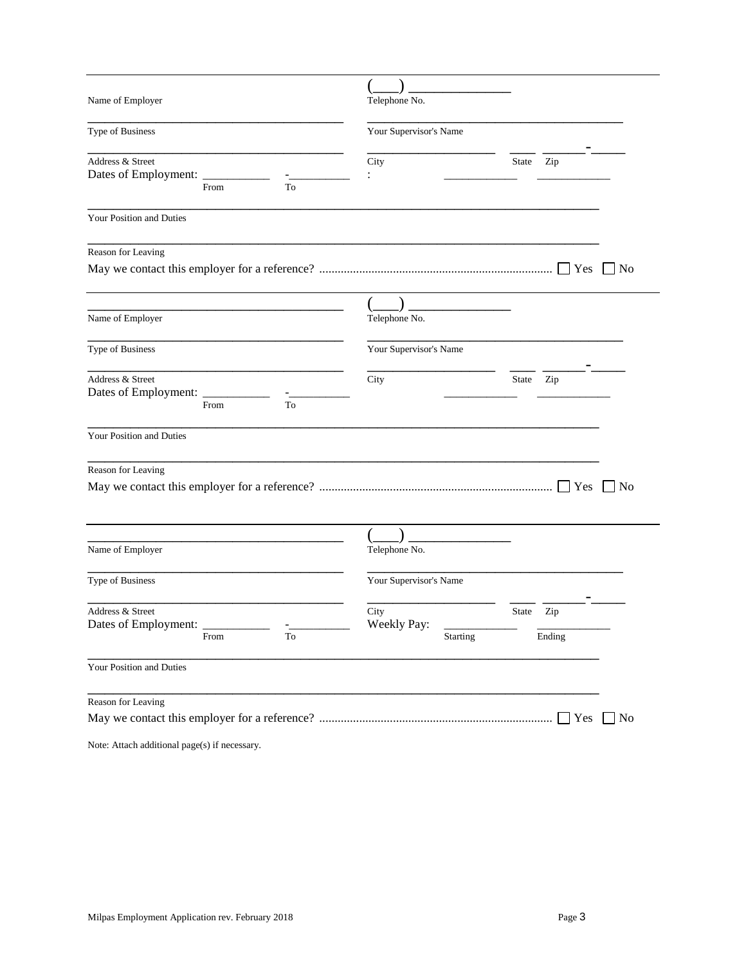| Name of Employer                              | Telephone No.                  |       |                    |           |
|-----------------------------------------------|--------------------------------|-------|--------------------|-----------|
| Type of Business                              | Your Supervisor's Name         |       |                    |           |
| Address & Street<br>Dates of Employment: ____ | City                           | State | Zip                |           |
| From<br>To                                    |                                |       |                    |           |
| Your Position and Duties                      |                                |       |                    |           |
| Reason for Leaving                            |                                |       |                    |           |
|                                               |                                |       | $\blacksquare$ Yes | $ $ No    |
|                                               |                                |       |                    |           |
| Name of Employer                              | Telephone No.                  |       |                    |           |
| Type of Business                              | Your Supervisor's Name         |       |                    |           |
| Address & Street<br>Dates of Employment:      | City                           | State | Zip                |           |
| From<br>To                                    |                                |       |                    |           |
| Your Position and Duties                      |                                |       |                    |           |
| Reason for Leaving                            |                                |       |                    |           |
|                                               |                                |       | Yes                | $ $ No    |
|                                               |                                |       |                    |           |
| Name of Employer                              | Telephone No.                  |       |                    |           |
| Type of Business                              | Your Supervisor's Name         |       |                    |           |
| Address & Street                              | City                           | State | Zip                |           |
| Dates of Employment:<br>To<br>From            | Weekly Pay:<br><b>Starting</b> |       | Ending             |           |
| Your Position and Duties                      |                                |       |                    |           |
| Reason for Leaving                            |                                |       |                    |           |
|                                               |                                |       | $\Box$ Yes         | $\Box$ No |
| Note: Attach additional page(s) if necessary. |                                |       |                    |           |